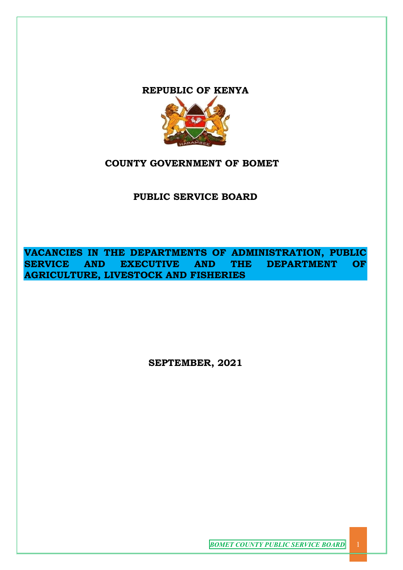# **REPUBLIC OF KENYA**



# **COUNTY GOVERNMENT OF BOMET**

**PUBLIC SERVICE BOARD**

**VACANCIES IN THE DEPARTMENTS OF ADMINISTRATION, PUBLIC SERVICE AND EXECUTIVE AND THE DEPARTMENT OF AGRICULTURE, LIVESTOCK AND FISHERIES** 

**SEPTEMBER, 2021**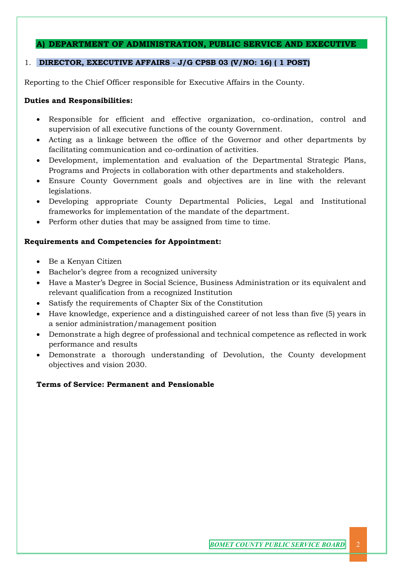# **A) DEPARTMENT OF ADMINISTRATION, PUBLIC SERVICE AND EXECUTIVE**

# 1. **DIRECTOR, EXECUTIVE AFFAIRS - J/G CPSB 03 (V/NO: 16) ( 1 POST)**

Reporting to the Chief Officer responsible for Executive Affairs in the County.

# **Duties and Responsibilities:**

- Responsible for efficient and effective organization, co-ordination, control and supervision of all executive functions of the county Government.
- Acting as a linkage between the office of the Governor and other departments by facilitating communication and co-ordination of activities.
- Development, implementation and evaluation of the Departmental Strategic Plans, Programs and Projects in collaboration with other departments and stakeholders.
- Ensure County Government goals and objectives are in line with the relevant legislations.
- Developing appropriate County Departmental Policies, Legal and Institutional frameworks for implementation of the mandate of the department.
- Perform other duties that may be assigned from time to time.

# **Requirements and Competencies for Appointment:**

- Be a Kenyan Citizen
- Bachelor's degree from a recognized university
- Have a Master's Degree in Social Science, Business Administration or its equivalent and relevant qualification from a recognized Institution
- Satisfy the requirements of Chapter Six of the Constitution
- Have knowledge, experience and a distinguished career of not less than five (5) years in a senior administration/management position
- Demonstrate a high degree of professional and technical competence as reflected in work performance and results
- Demonstrate a thorough understanding of Devolution, the County development objectives and vision 2030.

# **Terms of Service: Permanent and Pensionable**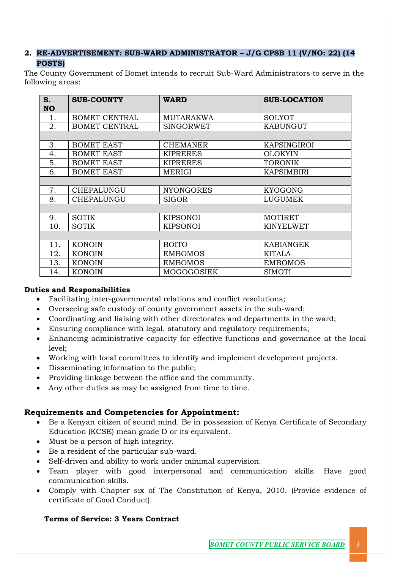# **2. RE-ADVERTISEMENT: SUB-WARD ADMINISTRATOR – J/G CPSB 11 (V/NO: 22) (14 POSTS)**

The County Government of Bomet intends to recruit Sub-Ward Administrators to serve in the following areas:

| S.<br><b>NO</b> | <b>SUB-COUNTY</b>    | <b>WARD</b>      | <b>SUB-LOCATION</b> |
|-----------------|----------------------|------------------|---------------------|
| 1.              | <b>BOMET CENTRAL</b> | <b>MUTARAKWA</b> | SOLYOT              |
| 2.              | <b>BOMET CENTRAL</b> | <b>SINGORWET</b> | <b>KABUNGUT</b>     |
|                 |                      |                  |                     |
| 3.              | <b>BOMET EAST</b>    | <b>CHEMANER</b>  | KAPSINGIROI         |
| 4.              | <b>BOMET EAST</b>    | <b>KIPRERES</b>  | <b>OLOKYIN</b>      |
| 5.              | <b>BOMET EAST</b>    | <b>KIPRERES</b>  | <b>TORONIK</b>      |
| 6.              | <b>BOMET EAST</b>    | MERIGI           | <b>KAPSIMBIRI</b>   |
|                 |                      |                  |                     |
| 7.              | CHEPALUNGU           | <b>NYONGORES</b> | <b>KYOGONG</b>      |
| 8.              | CHEPALUNGU           | <b>SIGOR</b>     | LUGUMEK             |
|                 |                      |                  |                     |
| 9.              | <b>SOTIK</b>         | <b>KIPSONOI</b>  | <b>MOTIRET</b>      |
| 10.             | <b>SOTIK</b>         | <b>KIPSONOI</b>  | <b>KINYELWET</b>    |
|                 |                      |                  |                     |
| 11.             | <b>KONOIN</b>        | <b>BOITO</b>     | <b>KABIANGEK</b>    |
| 12.             | <b>KONOIN</b>        | <b>EMBOMOS</b>   | <b>KITALA</b>       |
| 13.             | <b>KONOIN</b>        | <b>EMBOMOS</b>   | <b>EMBOMOS</b>      |
| 14.             | <b>KONOIN</b>        | MOGOGOSIEK       | SIMOTI              |

# **Duties and Responsibilities**

- Facilitating inter-governmental relations and conflict resolutions;
- Overseeing safe custody of county government assets in the sub-ward;
- Coordinating and liaising with other directorates and departments in the ward;
- Ensuring compliance with legal, statutory and regulatory requirements;
- Enhancing administrative capacity for effective functions and governance at the local level;
- Working with local committees to identify and implement development projects.
- Disseminating information to the public;
- Providing linkage between the office and the community.
- Any other duties as may be assigned from time to time.

# **Requirements and Competencies for Appointment:**

- Be a Kenyan citizen of sound mind. Be in possession of Kenya Certificate of Secondary Education (KCSE) mean grade D or its equivalent.
- Must be a person of high integrity.
- Be a resident of the particular sub-ward.
- Self-driven and ability to work under minimal supervision.
- Team player with good interpersonal and communication skills. Have good communication skills.
- Comply with Chapter six of The Constitution of Kenya, 2010. (Provide evidence of certificate of Good Conduct).

# **Terms of Service: 3 Years Contract**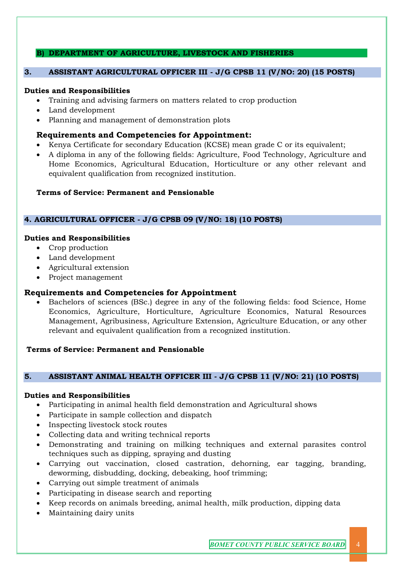# **B) DEPARTMENT OF AGRICULTURE, LIVESTOCK AND FISHERIES**

### **3. ASSISTANT AGRICULTURAL OFFICER III - J/G CPSB 11 (V/NO: 20) (15 POSTS)**

#### **Duties and Responsibilities**

- Training and advising farmers on matters related to crop production
- Land development
- Planning and management of demonstration plots

# **Requirements and Competencies for Appointment:**

- Kenya Certificate for secondary Education (KCSE) mean grade C or its equivalent;
- A diploma in any of the following fields: Agriculture, Food Technology, Agriculture and Home Economics, Agricultural Education, Horticulture or any other relevant and equivalent qualification from recognized institution.

# **Terms of Service: Permanent and Pensionable**

### **4. AGRICULTURAL OFFICER - J/G CPSB 09 (V/NO: 18) (10 POSTS)**

### **Duties and Responsibilities**

- Crop production
- Land development
- Agricultural extension
- Project management

# **Requirements and Competencies for Appointment**

• Bachelors of sciences (BSc.) degree in any of the following fields: food Science, Home Economics, Agriculture, Horticulture, Agriculture Economics, Natural Resources Management, Agribusiness, Agriculture Extension, Agriculture Education, or any other relevant and equivalent qualification from a recognized institution.

#### **Terms of Service: Permanent and Pensionable**

#### **5. ASSISTANT ANIMAL HEALTH OFFICER III - J/G CPSB 11 (V/NO: 21) (10 POSTS)**

#### **Duties and Responsibilities**

- Participating in animal health field demonstration and Agricultural shows
- Participate in sample collection and dispatch
- Inspecting livestock stock routes
- Collecting data and writing technical reports
- Demonstrating and training on milking techniques and external parasites control techniques such as dipping, spraying and dusting
- Carrying out vaccination, closed castration, dehorning, ear tagging, branding, deworming, disbudding, docking, debeaking, hoof trimming;
- Carrying out simple treatment of animals
- Participating in disease search and reporting
- Keep records on animals breeding, animal health, milk production, dipping data
- Maintaining dairy units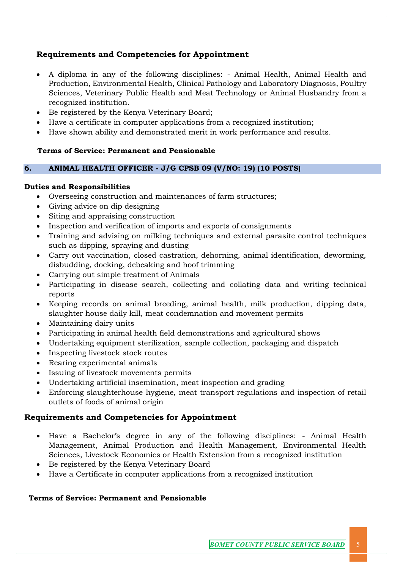# **Requirements and Competencies for Appointment**

- A diploma in any of the following disciplines: Animal Health, Animal Health and Production, Environmental Health, Clinical Pathology and Laboratory Diagnosis, Poultry Sciences, Veterinary Public Health and Meat Technology or Animal Husbandry from a recognized institution.
- Be registered by the Kenya Veterinary Board;
- Have a certificate in computer applications from a recognized institution;
- Have shown ability and demonstrated merit in work performance and results.

# **Terms of Service: Permanent and Pensionable**

# **6. ANIMAL HEALTH OFFICER - J/G CPSB 09 (V/NO: 19) (10 POSTS)**

# **Duties and Responsibilities**

- Overseeing construction and maintenances of farm structures;
- Giving advice on dip designing
- Siting and appraising construction
- Inspection and verification of imports and exports of consignments
- Training and advising on milking techniques and external parasite control techniques such as dipping, spraying and dusting
- Carry out vaccination, closed castration, dehorning, animal identification, deworming, disbudding, docking, debeaking and hoof trimming
- Carrying out simple treatment of Animals
- Participating in disease search, collecting and collating data and writing technical reports
- Keeping records on animal breeding, animal health, milk production, dipping data, slaughter house daily kill, meat condemnation and movement permits
- Maintaining dairy units
- Participating in animal health field demonstrations and agricultural shows
- Undertaking equipment sterilization, sample collection, packaging and dispatch
- Inspecting livestock stock routes
- Rearing experimental animals
- Issuing of livestock movements permits
- Undertaking artificial insemination, meat inspection and grading
- Enforcing slaughterhouse hygiene, meat transport regulations and inspection of retail outlets of foods of animal origin

# **Requirements and Competencies for Appointment**

- Have a Bachelor's degree in any of the following disciplines: Animal Health Management, Animal Production and Health Management, Environmental Health Sciences, Livestock Economics or Health Extension from a recognized institution
- Be registered by the Kenya Veterinary Board
- Have a Certificate in computer applications from a recognized institution

# **Terms of Service: Permanent and Pensionable**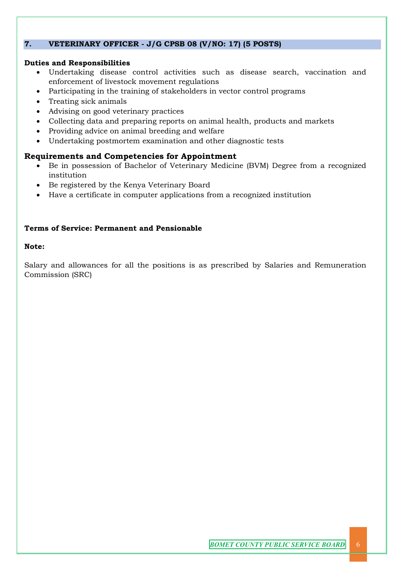# **7. VETERINARY OFFICER - J/G CPSB 08 (V/NO: 17) (5 POSTS)**

# **Duties and Responsibilities**

- Undertaking disease control activities such as disease search, vaccination and enforcement of livestock movement regulations
- Participating in the training of stakeholders in vector control programs
- Treating sick animals
- Advising on good veterinary practices
- Collecting data and preparing reports on animal health, products and markets
- Providing advice on animal breeding and welfare
- Undertaking postmortem examination and other diagnostic tests

# **Requirements and Competencies for Appointment**

- Be in possession of Bachelor of Veterinary Medicine (BVM) Degree from a recognized institution
- Be registered by the Kenya Veterinary Board
- Have a certificate in computer applications from a recognized institution

# **Terms of Service: Permanent and Pensionable**

### **Note:**

Salary and allowances for all the positions is as prescribed by Salaries and Remuneration Commission (SRC)